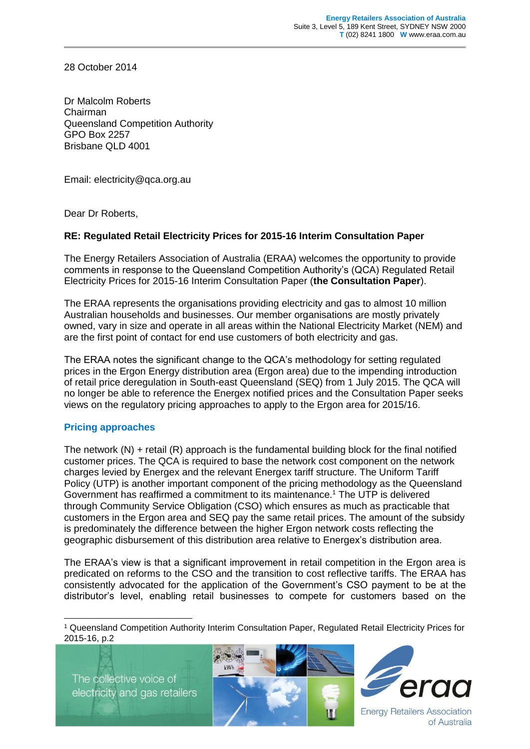28 October 2014

Dr Malcolm Roberts Chairman Queensland Competition Authority GPO Box 2257 Brisbane QLD 4001

Email: electricity@qca.org.au

Dear Dr Roberts,

## **RE: Regulated Retail Electricity Prices for 2015-16 Interim Consultation Paper**

The Energy Retailers Association of Australia (ERAA) welcomes the opportunity to provide comments in response to the Queensland Competition Authority's (QCA) Regulated Retail Electricity Prices for 2015-16 Interim Consultation Paper (**the Consultation Paper**).

The ERAA represents the organisations providing electricity and gas to almost 10 million Australian households and businesses. Our member organisations are mostly privately owned, vary in size and operate in all areas within the National Electricity Market (NEM) and are the first point of contact for end use customers of both electricity and gas.

The ERAA notes the significant change to the QCA's methodology for setting regulated prices in the Ergon Energy distribution area (Ergon area) due to the impending introduction of retail price deregulation in South-east Queensland (SEQ) from 1 July 2015. The QCA will no longer be able to reference the Energex notified prices and the Consultation Paper seeks views on the regulatory pricing approaches to apply to the Ergon area for 2015/16.

## **Pricing approaches**

The network  $(N)$  + retail  $(R)$  approach is the fundamental building block for the final notified customer prices. The QCA is required to base the network cost component on the network charges levied by Energex and the relevant Energex tariff structure. The Uniform Tariff Policy (UTP) is another important component of the pricing methodology as the Queensland Government has reaffirmed a commitment to its maintenance.<sup>1</sup> The UTP is delivered through Community Service Obligation (CSO) which ensures as much as practicable that customers in the Ergon area and SEQ pay the same retail prices. The amount of the subsidy is predominately the difference between the higher Ergon network costs reflecting the geographic disbursement of this distribution area relative to Energex's distribution area.

The ERAA's view is that a significant improvement in retail competition in the Ergon area is predicated on reforms to the CSO and the transition to cost reflective tariffs. The ERAA has consistently advocated for the application of the Government's CSO payment to be at the distributor's level, enabling retail businesses to compete for customers based on the

The collective voice of electricity and gas retailers

-





**Energy Retailers Association** of Australia

<sup>1</sup> Queensland Competition Authority Interim Consultation Paper, Regulated Retail Electricity Prices for 2015-16, p.2